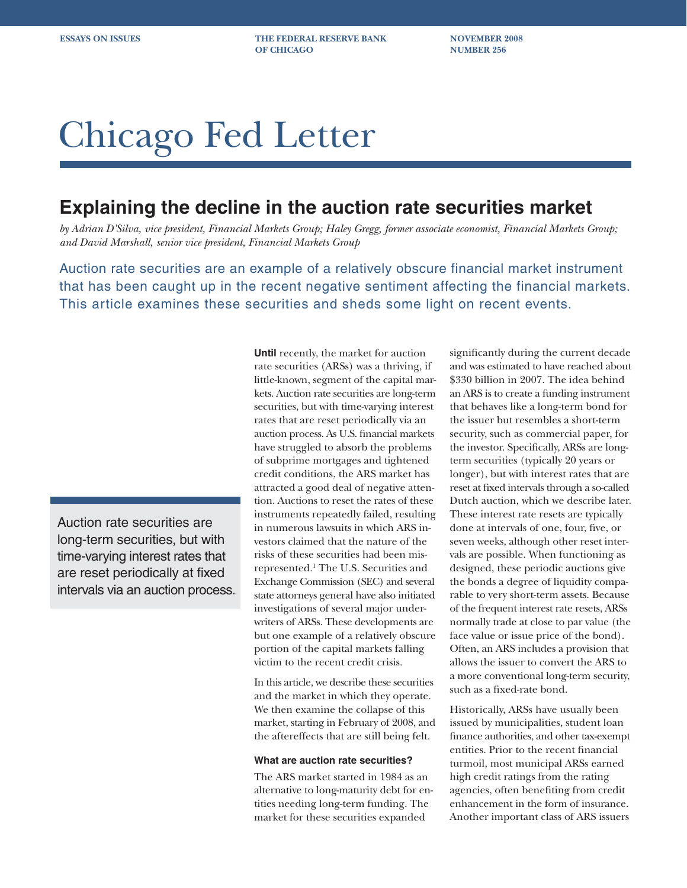**ESSAYS ON ISSUES THE FEDERAL RESERVE BANK NOVEMBER 2008 OF CHICAGO NUMBER 256** 

# Chicago Fed Letter

## **Explaining the decline in the auction rate securities market**

*by Adrian D'Silva, vice president, Financial Markets Group; Haley Gregg, former associate economist, Financial Markets Group; and David Marshall, senior vice president, Financial Markets Group*

Auction rate securities are an example of a relatively obscure financial market instrument that has been caught up in the recent negative sentiment affecting the financial markets. This article examines these securities and sheds some light on recent events.

Auction rate securities are long-term securities, but with time-varying interest rates that are reset periodically at fixed intervals via an auction process. **Until** recently, the market for auction rate securities (ARSs) was a thriving, if little-known, segment of the capital markets. Auction rate securities are long-term securities, but with time-varying interest rates that are reset periodically via an auction process. As U.S. financial markets have struggled to absorb the problems of subprime mortgages and tightened credit conditions, the ARS market has attracted a good deal of negative attention. Auctions to reset the rates of these instruments repeatedly failed, resulting in numerous lawsuits in which ARS investors claimed that the nature of the risks of these securities had been misrepresented.1 The U.S. Securities and Exchange Commission (SEC) and several state attorneys general have also initiated investigations of several major underwriters of ARSs. These developments are but one example of a relatively obscure portion of the capital markets falling victim to the recent credit crisis.

In this article, we describe these securities and the market in which they operate. We then examine the collapse of this market, starting in February of 2008, and the aftereffects that are still being felt.

#### **What are auction rate securities?**

The ARS market started in 1984 as an alternative to long-maturity debt for entities needing long-term funding. The market for these securities expanded

significantly during the current decade and was estimated to have reached about \$330 billion in 2007. The idea behind an ARS is to create a funding instrument that behaves like a long-term bond for the issuer but resembles a short-term security, such as commercial paper, for the investor. Specifically, ARSs are longterm securities (typically 20 years or longer), but with interest rates that are reset at fixed intervals through a so-called Dutch auction, which we describe later. These interest rate resets are typically done at intervals of one, four, five, or seven weeks, although other reset intervals are possible. When functioning as designed, these periodic auctions give the bonds a degree of liquidity comparable to very short-term assets. Because of the frequent interest rate resets, ARSs normally trade at close to par value (the face value or issue price of the bond). Often, an ARS includes a provision that allows the issuer to convert the ARS to a more conventional long-term security, such as a fixed-rate bond.

Historically, ARSs have usually been issued by municipalities, student loan finance authorities, and other tax-exempt entities. Prior to the recent financial turmoil, most municipal ARSs earned high credit ratings from the rating agencies, often benefiting from credit enhancement in the form of insurance. Another important class of ARS issuers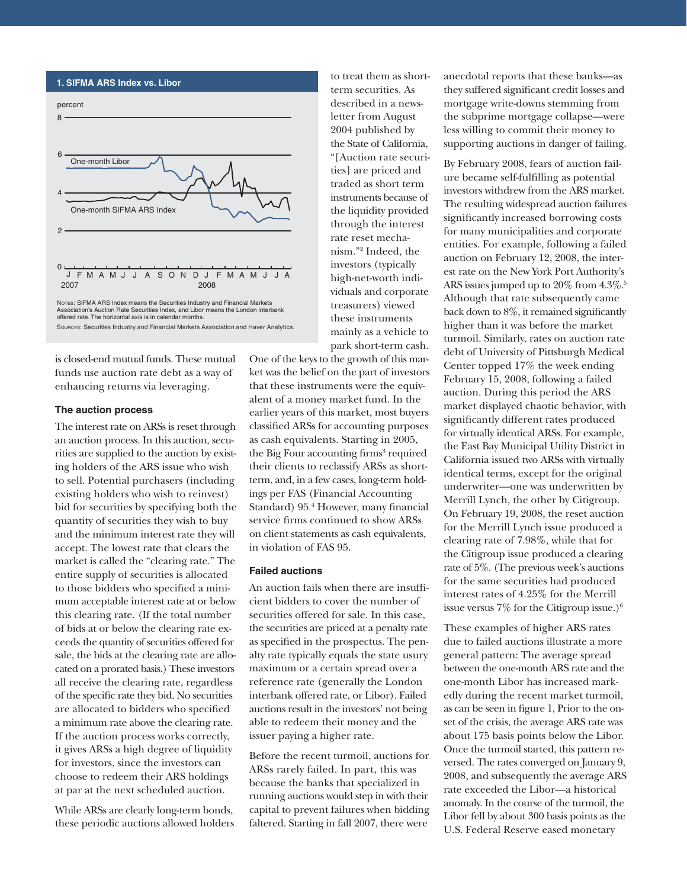#### **1. SIFMA ARS Index vs. Libor**



Association's Auction Rate Securities Index, and Libor means the London interbank offered rate. The horizontal axis is in calendar months. SOURCES: Securities Industry and Financial Markets Association and Haver Analytics.

is closed-end mutual funds. These mutual funds use auction rate debt as a way of enhancing returns via leveraging.

#### **The auction process**

The interest rate on ARSs is reset through an auction process. In this auction, securities are supplied to the auction by existing holders of the ARS issue who wish to sell. Potential purchasers (including existing holders who wish to reinvest) bid for securities by specifying both the quantity of securities they wish to buy and the minimum interest rate they will accept. The lowest rate that clears the market is called the "clearing rate." The entire supply of securities is allocated to those bidders who specified a minimum acceptable interest rate at or below this clearing rate. (If the total number of bids at or below the clearing rate exceeds the quantity of securities offered for sale, the bids at the clearing rate are allocated on a prorated basis.) These investors all receive the clearing rate, regardless of the specific rate they bid. No securities are allocated to bidders who specified a minimum rate above the clearing rate. If the auction process works correctly, it gives ARSs a high degree of liquidity for investors, since the investors can choose to redeem their ARS holdings at par at the next scheduled auction.

While ARSs are clearly long-term bonds, these periodic auctions allowed holders to treat them as shortterm securities. As described in a newsletter from August 2004 published by the State of California, "[Auction rate securities] are priced and traded as short term instruments because of the liquidity provided through the interest rate reset mechanism."2 Indeed, the investors (typically high-net-worth individuals and corporate treasurers) viewed these instruments mainly as a vehicle to park short-term cash.

One of the keys to the growth of this market was the belief on the part of investors that these instruments were the equivalent of a money market fund. In the earlier years of this market, most buyers classified ARSs for accounting purposes as cash equivalents. Starting in 2005, the Big Four accounting firms<sup>3</sup> required their clients to reclassify ARSs as shortterm, and, in a few cases, long-term holdings per FAS (Financial Accounting Standard) 95.<sup>4</sup> However, many financial service firms continued to show ARSs on client statements as cash equivalents, in violation of FAS 95.

#### **Failed auctions**

An auction fails when there are insufficient bidders to cover the number of securities offered for sale. In this case, the securities are priced at a penalty rate as specified in the prospectus. The penalty rate typically equals the state usury maximum or a certain spread over a reference rate (generally the London interbank offered rate, or Libor). Failed auctions result in the investors' not being able to redeem their money and the issuer paying a higher rate.

Before the recent turmoil, auctions for ARSs rarely failed. In part, this was because the banks that specialized in running auctions would step in with their capital to prevent failures when bidding faltered. Starting in fall 2007, there were

anecdotal reports that these banks—as they suffered significant credit losses and mortgage write-downs stemming from the subprime mortgage collapse—were less willing to commit their money to supporting auctions in danger of failing.

By February 2008, fears of auction failure became self-fulfilling as potential investors withdrew from the ARS market. The resulting widespread auction failures significantly increased borrowing costs for many municipalities and corporate entities. For example, following a failed auction on February 12, 2008, the interest rate on the New York Port Authority's ARS issues jumped up to 20% from 4.3%.<sup>5</sup> Although that rate subsequently came back down to 8%, it remained significantly higher than it was before the market turmoil. Similarly, rates on auction rate debt of University of Pittsburgh Medical Center topped 17% the week ending February 15, 2008, following a failed auction. During this period the ARS market displayed chaotic behavior, with significantly different rates produced for virtually identical ARSs. For example, the East Bay Municipal Utility District in California issued two ARSs with virtually identical terms, except for the original underwriter—one was underwritten by Merrill Lynch, the other by Citigroup. On February 19, 2008, the reset auction for the Merrill Lynch issue produced a clearing rate of 7.98%, while that for the Citigroup issue produced a clearing rate of 5%. (The previous week's auctions for the same securities had produced interest rates of 4.25% for the Merrill issue versus  $7\%$  for the Citigroup issue.)<sup>6</sup>

These examples of higher ARS rates due to failed auctions illustrate a more general pattern: The average spread between the one-month ARS rate and the one-month Libor has increased markedly during the recent market turmoil, as can be seen in figure 1, Prior to the onset of the crisis, the average ARS rate was about 175 basis points below the Libor. Once the turmoil started, this pattern reversed. The rates converged on January 9, 2008, and subsequently the average ARS rate exceeded the Libor—a historical anomaly. In the course of the turmoil, the Libor fell by about 300 basis points as the U.S. Federal Reserve eased monetary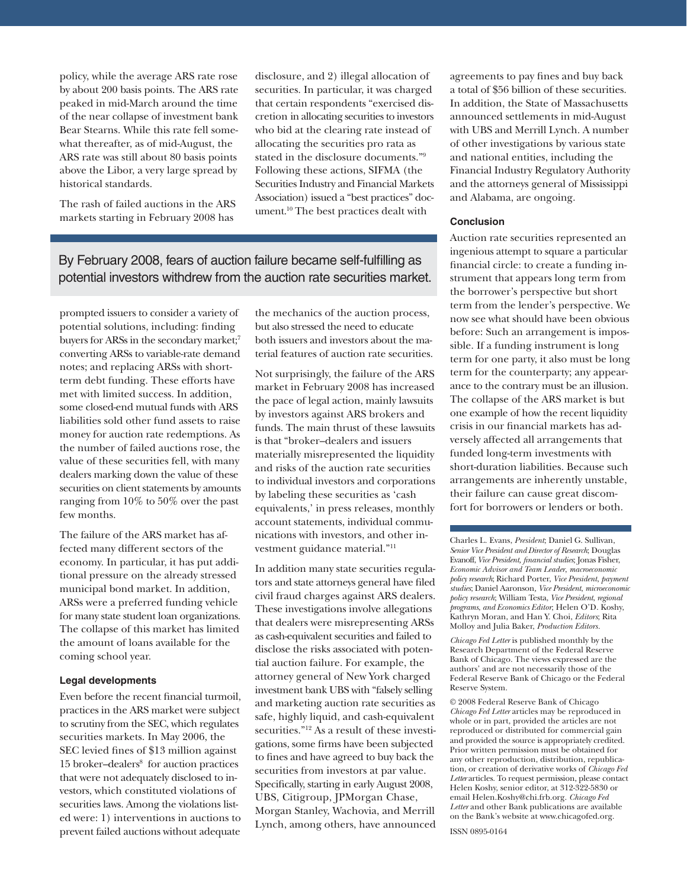policy, while the average ARS rate rose by about 200 basis points. The ARS rate peaked in mid-March around the time of the near collapse of investment bank Bear Stearns. While this rate fell somewhat thereafter, as of mid-August, the ARS rate was still about 80 basis points above the Libor, a very large spread by historical standards.

The rash of failed auctions in the ARS markets starting in February 2008 has

disclosure, and 2) illegal allocation of securities. In particular, it was charged that certain respondents "exercised discretion in allocating securities to investors who bid at the clearing rate instead of allocating the securities pro rata as stated in the disclosure documents."9 Following these actions, SIFMA (the Securities Industry and Financial Markets Association) issued a "best practices" document.10 The best practices dealt with

### By February 2008, fears of auction failure became self-fulfilling as potential investors withdrew from the auction rate securities market.

prompted issuers to consider a variety of potential solutions, including: finding buyers for ARSs in the secondary market;<sup>7</sup> converting ARSs to variable-rate demand notes; and replacing ARSs with shortterm debt funding. These efforts have met with limited success. In addition, some closed-end mutual funds with ARS liabilities sold other fund assets to raise money for auction rate redemptions. As the number of failed auctions rose, the value of these securities fell, with many dealers marking down the value of these securities on client statements by amounts ranging from 10% to 50% over the past few months.

The failure of the ARS market has affected many different sectors of the economy. In particular, it has put additional pressure on the already stressed municipal bond market. In addition, ARSs were a preferred funding vehicle for many state student loan organizations. The collapse of this market has limited the amount of loans available for the coming school year.

#### **Legal developments**

Even before the recent financial turmoil, practices in the ARS market were subject to scrutiny from the SEC, which regulates securities markets. In May 2006, the SEC levied fines of \$13 million against 15 broker-dealers<sup>8</sup> for auction practices that were not adequately disclosed to investors, which constituted violations of securities laws. Among the violations listed were: 1) interventions in auctions to prevent failed auctions without adequate

the mechanics of the auction process, but also stressed the need to educate both issuers and investors about the material features of auction rate securities.

Not surprisingly, the failure of the ARS market in February 2008 has increased the pace of legal action, mainly lawsuits by investors against ARS brokers and funds. The main thrust of these lawsuits is that "broker–dealers and issuers materially misrepresented the liquidity and risks of the auction rate securities to individual investors and corporations by labeling these securities as 'cash equivalents,' in press releases, monthly account statements, individual communications with investors, and other investment guidance material."11

In addition many state securities regulators and state attorneys general have filed civil fraud charges against ARS dealers. These investigations involve allegations that dealers were misrepresenting ARSs as cash-equivalent securities and failed to disclose the risks associated with potential auction failure. For example, the attorney general of New York charged investment bank UBS with "falsely selling and marketing auction rate securities as safe, highly liquid, and cash-equivalent securities."12 As a result of these investigations, some firms have been subjected to fines and have agreed to buy back the securities from investors at par value. Specifically, starting in early August 2008, UBS, Citigroup, JPMorgan Chase, Morgan Stanley, Wachovia, and Merrill Lynch, among others, have announced

agreements to pay fines and buy back a total of \$56 billion of these securities. In addition, the State of Massachusetts announced settlements in mid-August with UBS and Merrill Lynch. A number of other investigations by various state and national entities, including the Financial Industry Regulatory Authority and the attorneys general of Mississippi and Alabama, are ongoing.

#### **Conclusion**

Auction rate securities represented an ingenious attempt to square a particular financial circle: to create a funding instrument that appears long term from the borrower's perspective but short term from the lender's perspective. We now see what should have been obvious before: Such an arrangement is impossible. If a funding instrument is long term for one party, it also must be long term for the counterparty; any appearance to the contrary must be an illusion. The collapse of the ARS market is but one example of how the recent liquidity crisis in our financial markets has adversely affected all arrangements that funded long-term investments with short-duration liabilities. Because such arrangements are inherently unstable, their failure can cause great discomfort for borrowers or lenders or both.

Charles L. Evans, *President*; Daniel G. Sullivan, *Senior Vice President and Director of Research*; Douglas Evanoff, *Vice President, financial studies*; Jonas Fisher, *Economic Advisor and Team Leader*, *macroeconomic policy research*; Richard Porter, *Vice President*, *payment studies*; Daniel Aaronson*, Vice President*, *microeconomic policy research*; William Testa, *Vice President*, *regional programs*, *and Economics Editor*; Helen O'D. Koshy, Kathryn Moran, and Han Y. Choi, *Editors*; Rita Molloy and Julia Baker, *Production Editors.*

*Chicago Fed Letter* is published monthly by the Research Department of the Federal Reserve Bank of Chicago. The views expressed are the authors' and are not necessarily those of the Federal Reserve Bank of Chicago or the Federal Reserve System.

© 2008 Federal Reserve Bank of Chicago *Chicago Fed Letter* articles may be reproduced in whole or in part, provided the articles are not reproduced or distributed for commercial gain and provided the source is appropriately credited. Prior written permission must be obtained for any other reproduction, distribution, republication, or creation of derivative works of *Chicago Fed Letter* articles. To request permission, please contact Helen Koshy, senior editor, at 312-322-5830 or email Helen.Koshy@chi.frb.org. *Chicago Fed Letter* and other Bank publications are available on the Bank's website at www.chicagofed.org.

ISSN 0895-0164